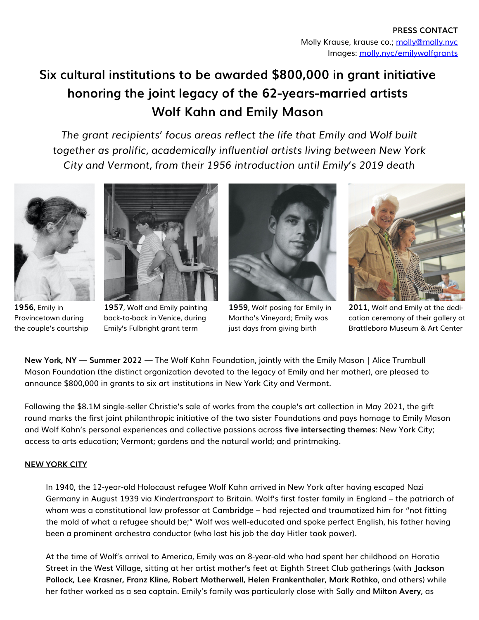# **Six cultural institutions to be awarded \$800,000 in grant initiative honoring the joint legacy of the 62-years-married artists Wolf Kahn and Emily Mason**

*The grant recipients' focus areas reflect the life that Emily and Wolf built together as prolific, academically influential artists living between New York City and Vermont, from their 1956 introduction until Emily's 2019 death*



**1956**, Emily in Provincetown during the couple's courtship



**1957**, Wolf and Emily painting back-to-back in Venice, during Emily's Fulbright grant term



**1959**, Wolf posing for Emily in Martha's Vineyard; Emily was just days from giving birth



**2011**, Wolf and Emily at the dedication ceremony of their gallery at Brattleboro Museum & Art Center

**New York, NY — Summer 2022 —** The Wolf Kahn Foundation, jointly with the Emily Mason | Alice Trumbull Mason Foundation (the distinct organization devoted to the legacy of Emily and her mother), are pleased to announce \$800,000 in grants to six art institutions in New York City and Vermont.

Following the \$8.1M single-seller Christie's sale of works from the couple's art collection in May 2021, the gift round marks the first joint philanthropic initiative of the two sister Foundations and pays homage to Emily Mason and Wolf Kahn's personal experiences and collective passions across **five intersecting themes**: New York City; access to arts education; Vermont; gardens and the natural world; and printmaking.

## **NEW YORK CITY**

In 1940, the 12-year-old Holocaust refugee Wolf Kahn arrived in New York after having escaped Nazi Germany in August 1939 via *Kindertransport* to Britain. Wolf's first foster family in England – the patriarch of whom was a constitutional law professor at Cambridge – had rejected and traumatized him for "not fitting the mold of what a refugee should be;" Wolf was well-educated and spoke perfect English, his father having been a prominent orchestra conductor (who lost his job the day Hitler took power).

At the time of Wolf's arrival to America, Emily was an 8-year-old who had spent her childhood on Horatio Street in the West Village, sitting at her artist mother's feet at Eighth Street Club gatherings (with **Jackson Pollock, Lee Krasner, Franz Kline, Robert Motherwell, Helen Frankenthaler, Mark Rothko**, and others) while her father worked as a sea captain. Emily's family was particularly close with Sally and **Milton Avery**, as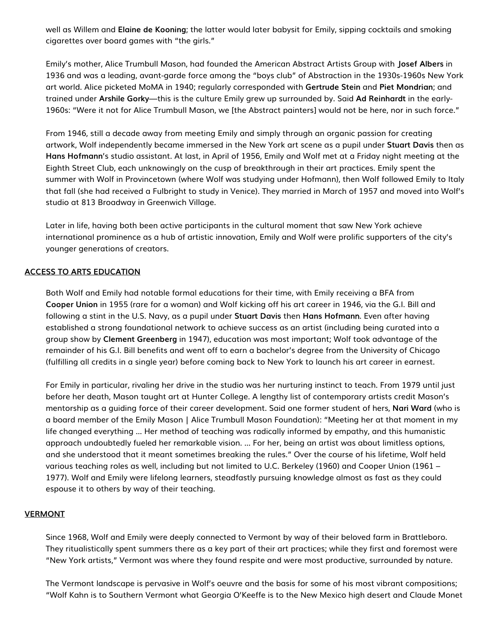well as Willem and **Elaine de Kooning**; the latter would later babysit for Emily, sipping cocktails and smoking cigarettes over board games with "the girls."

Emily's mother, Alice Trumbull Mason, had founded the American Abstract Artists Group with **Josef Albers** in 1936 and was a leading, avant-garde force among the "boys club" of Abstraction in the 1930s-1960s New York art world. Alice picketed MoMA in 1940; regularly corresponded with **Gertrude Stein** and **Piet Mondrian**; and trained under **Arshile Gorky**—this is the culture Emily grew up surrounded by. Said **Ad Reinhardt** in the early-1960s: "Were it not for Alice Trumbull Mason, we [the Abstract painters] would not be here, nor in such force."

From 1946, still a decade away from meeting Emily and simply through an organic passion for creating artwork, Wolf independently became immersed in the New York art scene as a pupil under **Stuart Davis** then as **Hans Hofmann**'s studio assistant. At last, in April of 1956, Emily and Wolf met at a Friday night meeting at the Eighth Street Club, each unknowingly on the cusp of breakthrough in their art practices. Emily spent the summer with Wolf in Provincetown (where Wolf was studying under Hofmann), then Wolf followed Emily to Italy that fall (she had received a Fulbright to study in Venice). They married in March of 1957 and moved into Wolf's studio at 813 Broadway in Greenwich Village.

Later in life, having both been active participants in the cultural moment that saw New York achieve international prominence as a hub of artistic innovation, Emily and Wolf were prolific supporters of the city's younger generations of creators.

## **ACCESS TO ARTS EDUCATION**

Both Wolf and Emily had notable formal educations for their time, with Emily receiving a BFA from **Cooper Union** in 1955 (rare for a woman) and Wolf kicking off his art career in 1946, via the G.I. Bill and following a stint in the U.S. Navy, as a pupil under **Stuart Davis** then **Hans Hofman**n. Even after having established a strong foundational network to achieve success as an artist (including being curated into a group show by **Clement Greenberg** in 1947), education was most important; Wolf took advantage of the remainder of his G.I. Bill benefits and went off to earn a bachelor's degree from the University of Chicago (fulfilling all credits in a single year) before coming back to New York to launch his art career in earnest.

For Emily in particular, rivaling her drive in the studio was her nurturing instinct to teach. From 1979 until just before her death, Mason taught art at Hunter College. A lengthy list of contemporary artists credit Mason's mentorship as a guiding force of their career development. Said one former student of hers, **Nari Ward** (who is a board member of the Emily Mason | Alice Trumbull Mason Foundation): "Meeting her at that moment in my life changed everything … Her method of teaching was radically informed by empathy, and this humanistic approach undoubtedly fueled her remarkable vision. … For her, being an artist was about limitless options, and she understood that it meant sometimes breaking the rules." Over the course of his lifetime, Wolf held various teaching roles as well, including but not limited to U.C. Berkeley (1960) and Cooper Union (1961 – 1977). Wolf and Emily were lifelong learners, steadfastly pursuing knowledge almost as fast as they could espouse it to others by way of their teaching.

## **VERMONT**

Since 1968, Wolf and Emily were deeply connected to Vermont by way of their beloved farm in Brattleboro. They ritualistically spent summers there as a key part of their art practices; while they first and foremost were "New York artists," Vermont was where they found respite and were most productive, surrounded by nature.

The Vermont landscape is pervasive in Wolf's oeuvre and the basis for some of his most vibrant compositions; "Wolf Kahn is to Southern Vermont what Georgia O'Keeffe is to the New Mexico high desert and Claude Monet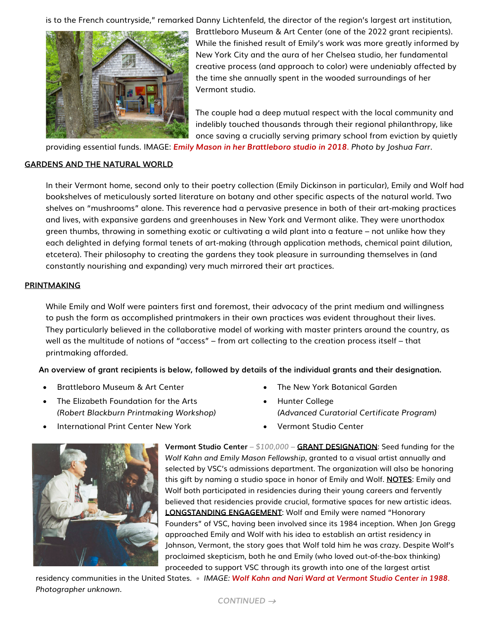is to the French countryside," remarked Danny Lichtenfeld, the director of the region's largest art institution,



Brattleboro Museum & Art Center (one of the 2022 grant recipients). While the finished result of Emily's work was more greatly informed by New York City and the aura of her Chelsea studio, her fundamental creative process (and approach to color) were undeniably affected by the time she annually spent in the wooded surroundings of her Vermont studio.

The couple had a deep mutual respect with the local community and indelibly touched thousands through their regional philanthropy, like once saving a crucially serving primary school from eviction by quietly

providing essential funds. IMAGE: *Emily Mason in her Brattleboro studio in 2018. Photo by Joshua Farr.*

## **GARDENS AND THE NATURAL WORLD**

In their Vermont home, second only to their poetry collection (Emily Dickinson in particular), Emily and Wolf had bookshelves of meticulously sorted literature on botany and other specific aspects of the natural world. Two shelves on "mushrooms" alone. This reverence had a pervasive presence in both of their art-making practices and lives, with expansive gardens and greenhouses in New York and Vermont alike. They were unorthodox green thumbs, throwing in something exotic or cultivating a wild plant into a feature – not unlike how they each delighted in defying formal tenets of art-making (through application methods, chemical paint dilution, etcetera). Their philosophy to creating the gardens they took pleasure in surrounding themselves in (and constantly nourishing and expanding) very much mirrored their art practices.

#### **PRINTMAKING**

While Emily and Wolf were painters first and foremost, their advocacy of the print medium and willingness to push the form as accomplished printmakers in their own practices was evident throughout their lives. They particularly believed in the collaborative model of working with master printers around the country, as well as the multitude of notions of "access" – from art collecting to the creation process itself – that printmaking afforded.

**An overview of grant recipients is below, followed by details of the individual grants and their designation.**

- Brattleboro Museum & Art Center
- The Elizabeth Foundation for the Arts *(Robert Blackburn Printmaking Workshop)*
- International Print Center New York



**Vermont Studio Center** *– \$100,000 –* **GRANT DESIGNATION**: Seed funding for the *Wolf Kahn and Emily Mason Fellowship*, granted to a visual artist annually and selected by VSC's admissions department. The organization will also be honoring this gift by naming a studio space in honor of Emily and Wolf. **NOTES**: Emily and Wolf both participated in residencies during their young careers and fervently believed that residencies provide crucial, formative spaces for new artistic ideas. **LONGSTANDING ENGAGEMENT**: Wolf and Emily were named "Honorary Founders" of VSC, having been involved since its 1984 inception. When Jon Gregg approached Emily and Wolf with his idea to establish an artist residency in Johnson, Vermont, the story goes that Wolf told him he was crazy. Despite Wolf's proclaimed skepticism, both he and Emily (who loved out-of-the-box thinking) proceeded to support VSC through its growth into one of the largest artist

residency communities in the United States. • *IMAGE: Wolf Kahn and Nari Ward at Vermont Studio Center in 1988. Photographer unknown.*

- The New York Botanical Garden
- Hunter College *(Advanced Curatorial Certificate Program)*
- Vermont Studio Center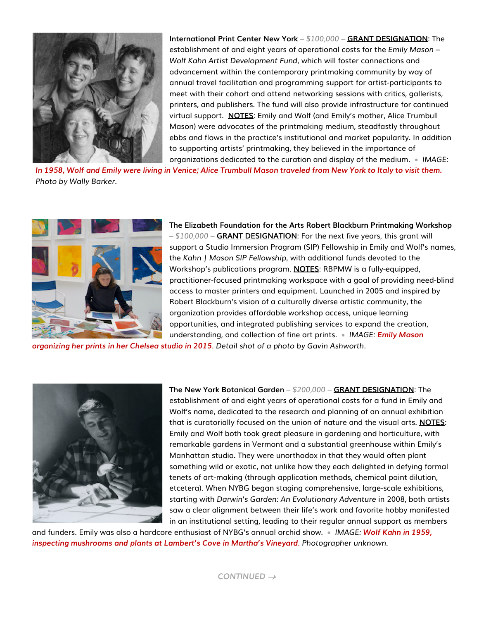

**International Print Center New York** *– \$100,000 –* **GRANT DESIGNATION**: The establishment of and eight years of operational costs for the *Emily Mason – Wolf Kahn Artist Development Fund*, which will foster connections and advancement within the contemporary printmaking community by way of annual travel facilitation and programming support for artist-participants to meet with their cohort and attend networking sessions with critics, gallerists, printers, and publishers. The fund will also provide infrastructure for continued virtual support. **NOTES**: Emily and Wolf (and Emily's mother, Alice Trumbull Mason) were advocates of the printmaking medium, steadfastly throughout ebbs and flows in the practice's institutional and market popularity. In addition to supporting artists' printmaking, they believed in the importance of organizations dedicated to the curation and display of the medium. • *IMAGE:*

*In 1958, Wolf and Emily were living in Venice; Alice Trumbull Mason traveled from New York to Italy to visit them. Photo by Wally Barker.* 



**The Elizabeth Foundation for the Arts Robert Blackburn Printmaking Workshop** *– \$100,000 –* **GRANT DESIGNATION**: For the next five years, this grant will support a Studio Immersion Program (SIP) Fellowship in Emily and Wolf's names, the *Kahn | Mason SIP Fellowship*, with additional funds devoted to the Workshop's publications program. **NOTES**: RBPMW is a fully-equipped, practitioner-focused printmaking workspace with a goal of providing need-blind access to master printers and equipment. Launched in 2005 and inspired by Robert Blackburn's vision of a culturally diverse artistic community, the organization provides affordable workshop access, unique learning opportunities, and integrated publishing services to expand the creation, understanding, and collection of fine art prints. • *IMAGE: Emily Mason* 

*organizing her prints in her Chelsea studio in 2015. Detail shot of a photo by Gavin Ashworth.*



**The New York Botanical Garden** *– \$200,000 –* **GRANT DESIGNATION**: The establishment of and eight years of operational costs for a fund in Emily and Wolf's name, dedicated to the research and planning of an annual exhibition that is curatorially focused on the union of nature and the visual arts. **NOTES**: Emily and Wolf both took great pleasure in gardening and horticulture, with remarkable gardens in Vermont and a substantial greenhouse within Emily's Manhattan studio. They were unorthodox in that they would often plant something wild or exotic, not unlike how they each delighted in defying formal tenets of art-making (through application methods, chemical paint dilution, etcetera). When NYBG began staging comprehensive, large-scale exhibitions, starting with *Darwin's Garden: An Evolutionary Adventure* in 2008, both artists saw a clear alignment between their life's work and favorite hobby manifested in an institutional setting, leading to their regular annual support as members

and funders. Emily was also a hardcore enthusiast of NYBG's annual orchid show. • *IMAGE: Wolf Kahn in 1959, inspecting mushrooms and plants at Lambert's Cove in Martha's Vineyard. Photographer unknown.*